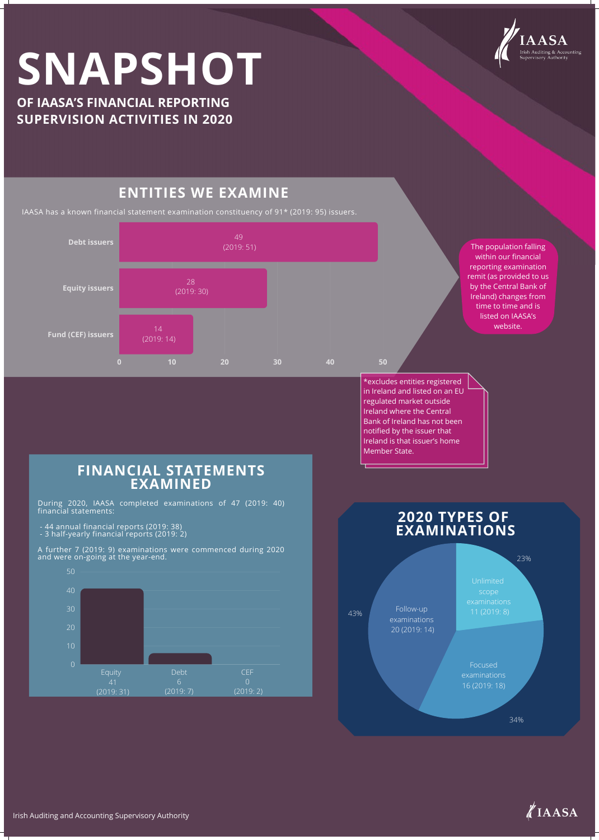

# **SNAPSHOT**

**OF IAASA'S FINANCIAL REPORTING SUPERVISION ACTIVITIES IN 2020**

IAASA has a known financial statement examination constituency of 91\* (2019: 95) issuers.



# **ENTITIES WE EXAMINE**

Ireland is that issuer's home Member State.



The population falling within our financial reporting examination remit (as provided to us by the Central Bank of Ireland) changes from time to time and is listed on IAASA's website.



![](_page_0_Picture_15.jpeg)

During 2020, IAASA completed examinations of 47 (2019: 40) financial statements:

- 44 annual financial reports (2019: 38)
- 3 half-yearly financial reports (2019: 2)

A further 7 (2019: 9) examinations were commenced during 2020 and were on-going at the year-end.

#### **FINANCIAL STATEMENTS EXAMINED**